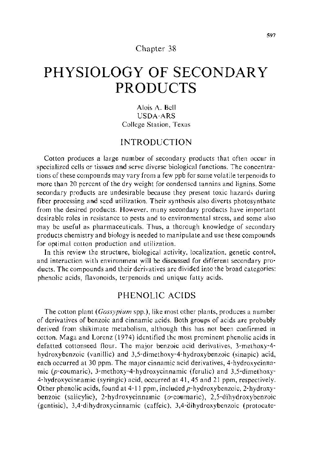### Chapter 38

# **PHYSIOLOGY OF SECONDARY PRODUCTS**

Alois A. Bell USDA-ARS College Station, Texas

## INTRODUCTION

Cotton produces a large number of secondary products that often occur in specialized cells or tissues and serve diverse biological functions. The concentrations of these compounds may vary from a few ppb for some volatile terpenoids to more than 20 percent of the dry weight for condensed tannins and lignins. Some secondary products are undesirable because they present toxic hazards during fiber processing and seed utilization. Their synthesis also diverts photosynthate from the desired products. However. many secondary products have important desirable roles in resistance to pests and to environmental stress, and some also may be useful as pharmaceuticals. Thus, a thorough knowledge of secondary products chemistry and biology is needed to manipulate and use these compounds for optimal cotton production and utilization.

In this review the structure, biological activity, localization, genetic control, and interaction with environment will be discussed for different secondary products. The compounds and their derivatives are divided into the broad categories: phenolic acids, flavonoids, terpenoids and unique fatty acids.

## PHENOLIC ACIDS

The cotton plant ( *Gossypium* spp.), like most other plants, produces a number of derivatives of benzoic and cinnamic acids. Both groups of acids are probably derived from shikimate metabolism, although this has not been confirmed in cotton. Maga and Lorenz (1974) identified the most prominent phenolic acids in defatted cottonseed flour. The major benzoic acid derivatives, 3-methoxy-4 hydroxybenzoic (vanillic) and 3,5-dimethoxy-4-hydroxybenzoic (sinapic) acid, each occurred at 30 ppm. The major cinnamic acid derivatives, 4-hydroxycinnamic ( $p$ -coumaric), 3-methoxy-4-hydroxycinnamic (ferulic) and 3,5-dimethoxy-4-hydroxycinnamic (syringic) acid, occurred at 41, 45 and 21 ppm, respectively. Other phenolic acids, found at  $4-11$  ppm, included  $p$ -hydroxy benzoic, 2-hydroxybenzoic (salicylic), 2-hydroxycinnamic (o-coumaric), 2,5-dihydroxybenzoic (gentisic), 3,4-dihydroxycinnamic (caffeic), 3,4-dihydroxybenzoic (protocate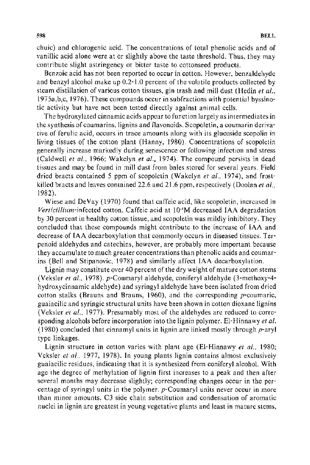chuic) and chlorogenic acid. The concentrations of total phenolic acids and of vanillic acid alone were at or slightly above the taste threshold. Thus, they may contribute slight astringency or bitter taste to cottonseed products.

Benzoic acid has not been reported to occur in cotton. However, benzaldehyde and benzyl alcohol make up 0.2-1.0 percent of the volatile products collected by steam distillation of various cotton tissues, gin trash and mill dust (Hedin *et al.,*  l975a,b,c, 1976). These compounds occur in subfractions with potential byssinotic activity but have not been tested directly against animal cells.

The hydroxylated cinnamic acids appear to function largely as intermediates in the synthesis of coumarins, lignins and flavonoids. Scopoletin, a coumarin derivative of ferulic acid, occurs in trace amounts along with its glucoside scopolin in living tissues of the cotton plant (Hanny, 1980). Concentrations of scopoletin generally increase markedly during senescence or following infection and stress (Caldwell *et al.,* 1966; Wakelyn *et al.,* 1974). The compound persists in dead tissues and may be found in mill dust from bales stored for several years. Field dried bracts contained 5 ppm of scopoletin (Wakelyn *eta!.,* 1974), and frostkilled bracts and leaves contained 22.6 and 21.6 ppm, respectively (Doolan *et al ..*  1982).

Wiese and DeVay ( 1970) found that caffeic acid, like scopoletin, increased in *Verticillium-infected* cotton. Caffeic acid at IO·"M decreased IAA degradation by 30 percent in healthy cotton tissue, and scopoletin was mildly inhibitory. They concluded that these compounds might contribute to the increase of IAA and decrease of IAA decarboxylation that commonly occurs in diseased tissues. Terpenoid aldehydes and catechins, however, are probably more important because they accumulate to much greater concentrations than phenolic acids and coumarins (Bell and Stipanovic, 1978) and similarly affect IAA decarboxylation.

Lignin may constitute over 40 percent of the dry weight of mature cotton stems (Veksler *et al.,* 1978). p-Coumaryl aldehyde, coniferyl aldehyde (3-methoxy-4 hydroxycinnamic aldehyde) and syringyl aldehyde have been isolated from dried cotton stalks (Brauns and Brauns, 1960), and the corresponding p-coumaric, guaiacilic and syringic structural units have been shown in cotton dioxane lignins (Veksler *et al.,* 1977). Presumably most of the aldehydes are reduced to corresponding alcohols before incorporation into the lignin polymer. EI-Hinnawy *eta/.*  (1980) concluded that cinnamyl units in lignin are linked mostly through  $p$ -aryl type linkages.

Lignin structure in cotton varies with plant age (El-Hinnawy *et al.*, 1980; Veksler *et at.,* 1977, 1978). In young plants lignin contains almost exclusively guaiacilic residues, indicating that it is synthesized from coniferyl alcohoL With age the degree of methylation of lignin first increases to a peak and then after several months may decrease slightly; corresponding changes occur in the percentage of syringyl units in the polymer. p-Coumaryl units never occur in more than minor amounts. C3 side chain substitution and condensation of aromatic nuclei in lignin are greatest in young vegetative plants and least in mature stems,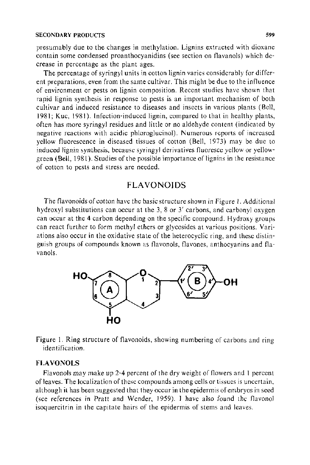presumably due to the changes in methylation. Lignins extracted with dioxane contain some condensed proanthocyanidins (see section on flavanols) which decrease in percentage as the plant ages.

The percentage of syringyl units in cotton lignin varies considerably for different preparations, even from the same cultivar. This might be due to the influence of environment or pests on lignin composition. Recent studies have shown that rapid lignin synthesis in response to pests is an important mechanism of both cultivar and induced resistance to diseases and insects in various plants (Bell, 1981; Kuc, 1981). Infection-induced lignin, compared to that in healthy plants, often has more syringyl residues and little or no aldehyde content (indicated by negative reactions with acidic phloroglucinol). Numerous reports of increased yellow fluorescence in diseased tissues of cotton (Bell, 1973) may be due to induced lignin synthesis, because syringyl derivatives fluoresce yellow or yellowgreen (Bell, 1981). Studies of the possible importance of lignins in the resistance of cotton to pests and stress are needed.

## FLAVONOIDS

The flavonoids of cotton have the basic structure shown in Figure I. Additional hydroxyl substitutions can occur at the 3, 8 or 3' carbons, and carbonyl oxygen can occur at the 4 carbon depending on the specific compound. Hydroxy groups can react further to form methyl ethers or glycosides at various positions. Variations also occur in the oxidative state of the heterocyclic ring, and these distinguish groups of compounds known as flavonols, flavones, anthocyanins and flavanols.



Figure 1. Ring structure of flavonoids, showing numbering of carbons and ring identification.

#### **FLAVONOLS**

Flavonols may make up 2-4 percent of the dry weight of flowers and 1 percent of leaves. The localization of these compounds among cells or tissues is uncertain, although it has been suggested that they occur in the epidermis of embryos in seed (see references in Pratt and Wender, 1959). I have also found the flavonol isoquercitrin in the capitate hairs of the epidermis of stems and leaves.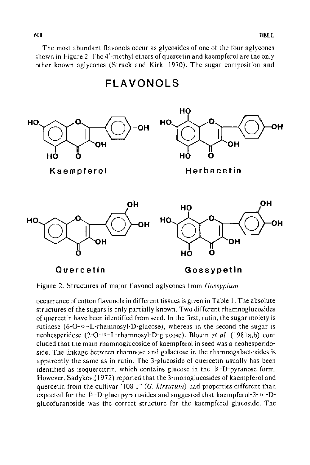The most abundant flavonols occur as glycosides of one of the four aglycones shown in Figure 2. The 4'-methyl ethers of quercetin and kaempferol are the only other known aglycones (Struck and Kirk, 1970). The sugar composition and

**FLAVONOLS** 



Figure 2. Structures of major flavonol aglycones from *Gossypium.* 

occurrence of cotton flavonols in different tissues is given in Table 1. The absolute structures of the sugars is only partially known. Two different rhamnoglucosides of quercetin have been identified from seed. In the first, rutin, the sugar moiety is rutinose (6-O- $\alpha$ -L-rhamnosyl-D-glucose), whereas in the second the sugar is neohesperidose (2-O<sup>-  $\alpha$ </sup>-L-rhamnosyl-D-glucose). Blouin *et al.* (1981a,b) concluded that the main rhamnoglucoside of kaempferol in seed was a neohesperidoside. The linkage between rhamnose and galactose in the rhamnogalactosides is apparently the same as in rutin. The 3-glucoside of quercetin usually has been identified as isoquercitrin, which contains glucose in the  $\beta$ -D-pyranose form. However, Sadykov.(1972) reported that the 3-monoglucosides of kaempferol and quercetin from the cultivar '108 F' (G. hirsutum) had properties different than expected for the  $\beta$ -D-glucopyranosides and suggested that kaempferol-3- $\alpha$ -Dglucofuranoside was the correct structure for the kaempferol glucoside. The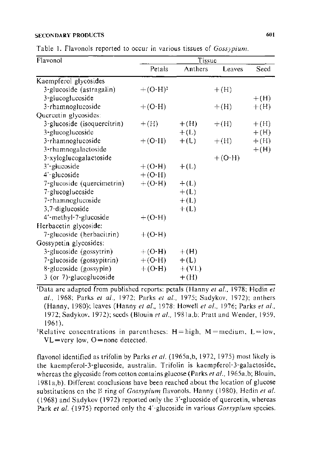Table I. Flavonols reported to occur in various tissues of *Gossypium.* 

| Flavonol                    | Tissue      |         |          |        |
|-----------------------------|-------------|---------|----------|--------|
|                             | Petals      | Anthers | Leaves   | Seed   |
| Kaempferol glycosides       |             |         |          |        |
| 3-glucoside (astragalin)    | $+ (O-H)^2$ |         | $+(H)$   |        |
| 3-glucoglucoside            |             |         |          | $+(H)$ |
| 3-rhamnoglucoside           | $+(O-H)$    |         | $+(H)$   | $+(H)$ |
| Quercetin glycosides:       |             |         |          |        |
| 3-glucoside (isoquercitrin) | $+(H)$      | $+(H)$  | $+(H)$   | $+(H)$ |
| 3-glucoglucoside            |             | $+(L)$  |          | $+(H)$ |
| 3-rhamnoglucoside           | $+(O-II)$   | $+(L)$  | $+(H)$   | $+(H)$ |
| 3-rhamnogalactoside         |             |         |          | $+(H)$ |
| 3-xyloglucogalactoside      |             |         | $+(O-H)$ |        |
| 3'-glucoside                | $+(O-H)$    | $+(L)$  |          |        |
| 4'-glucoside                | $+(O-H)$    |         |          |        |
| 7-glucoside (quercimetrin)  | $+(O-H)$    | $+(L)$  |          |        |
| 7-glucoglucoside            |             | $+(L)$  |          |        |
| 7-rhamnoglucoside           |             | $+(L)$  |          |        |
| 3,7-diglucoside             |             | $+(L)$  |          |        |
| 4'-methyl-7-glucoside       | $+(O-H)$    |         |          |        |
| Herbacetin glycoside:       |             |         |          |        |
| 7-glucoside (herbacitrin)   | $+(O-H)$    |         |          |        |
| Gossypetin glycosides:      |             |         |          |        |
| 3-glucoside (gossytrin)     | $+(O-H)$    | $+(H)$  |          |        |
| 7-glucoside (gossypitrin)   | $+ (O-H)$   | $+(L)$  |          |        |
| 8-glucoside (gossypin)      | $+ (O-H)$   | $+(VL)$ |          |        |
| 3 (or 7)-glucoglucoside     |             | $+(H)$  |          |        |

'Data are adapted from published reports: petals (Hanny *et al ..* 1978: Hedin *et at.,* 1968; Parks *et al.,* 1972: Parks *et al.,* 1975: Sadykov, 1972); anthers (Hanny, 1980): leaves (Hanny *et at.,* 1978; Howell *et a! ..* 1976; Parks *et a!.,*  1972; Sadykov, 1972); seeds (Blouin *eta/.,* l98la,b: Pratt and Wender, 1959,

1961).<br>'Relative concentrations in parentheses: H=high, M=medium, L=low,  $VL = \text{very low}, O = \text{none detected}.$ 

flavonol identified as trifolin by Parks *et al.* (1965a,b, 1972, 1975) most likely is the kaempferol-3-glucoside, australin. Trifolin is kaempferol-3-ga1actoside, whereas the glycoside from cotton contains glucose (Parks *et al.*, 1965a,b; Blouin, 1981 a,b). Different conclusions have been reached about the location of glucose substitutions on the  $\beta$  ring of *Gossypium* flavonols. Hanny (1980), Hedin *et al.* (1968) and Sadykov (1972) reported only the 3'-glucoside of quercetin, whereas Park *eta/.* {1975) reported only the 4'-glucoside in various *Gossypium* species.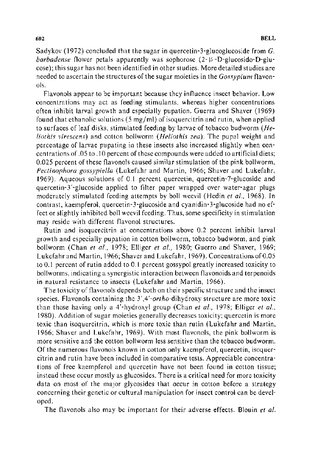Sadykov (1972) concluded that the sugar in quercetin-3-glucoglucoside from *G. barbadense* flower petals apparently was sophorose (2- $\beta$ -D-glucosido-D-glucose); this sugar has not been identified in other studies. More detailed studies are needed to ascertain the structures of the sugar moieties in the *Gossypium* flavonols.

Flavonols appear to be important because they influence insect behavior. Low concentrations may act as feeding stimulants, whereas higher concentrations often inhibit larval growth and especially pupation. Guerra and Shaver (1969) found that ethanolic solutions (5 mg/ml) of isoquercitrin and rutin, when applied to surfaces of leaf disks, stimulated feeding by larvae of tobacco bud worm *(Heliothis virescens)* and cotton bollworm *(Heliothis zea).* The pupal weight and percentage of larvae pupating in these insects also increased slightly when concentrations of .05 to .I 0 percent of these compounds were added to artificial diets; 0.025 percent of these flavonols caused similar stimulation of the pink bollworm, *Pectinophora gossypiella* (Lukefahr and Martin, 1966; Shaver and Lukefahr, 1969). Aqueous solutions of 0.1 percent quercetin, quercetin-7-glucoside and quercetin-3 '-glucoside applied to filter paper wrapped over water-agar plugs moderately stimulated feeding attempts by boll weevil (Hedin et al., 1968). In contrast, kaempferol, quercetin-3-glucoside and cyanidin- 3-glucoside had no effect or slightly inhibited boll weevil feeding. Thus, some specificity in stimulation may reside with different flavonol structures.

Rutin and isoquercitrin at concentrations above 0.2 percent inhibit larval growth and especially pupation in cotton bollworm, tobacco budworm, and pink bollworm (Chan *et al.,* 1978; Elliger *et a!.,* 1980; Guerro and Shaver, 1969; Lukefahr and Martin, 1966; Shaver and Lukefahr, 1969). Concentrations of0.05 to 0.1 percent of rutin added to 0.1 percent gossypol greatly increased toxicity to bollworms, indicating a synergistic interaction between flavonoids and terpenoids in natural resistance to insects (Lukefahr and Martin, 1966).

The toxicity of flavonols depends both on their specific structure and the insect species. Flavonols containing the 3',4'-ortho-dihydroxy structure are more toxic than those having only a 4'-hydroxyl group (Chan et al., 1978; Elliger et al., 1980). Addition of sugar moieties generally decreases toxicity; quercetin is more toxic than isoquercitrin, which is more toxic than rutin (Lukefahr and Martin, 1966; Shaver and Lukefahr, 1969). With most flavonols, the pink bollworm is more sensitive and the cotton bollworm less sensitive than the tobacco bud worm. Of the numerous flavonols known in cotton only kaempferol, quercetin, isoquercitrin and rutin have been included in comparative tests. Appreciable concentrations of free kaempferol and quercetin have not been found in cotton tissue; instead these occur mostly as glucosides. There is a critical need for more toxicity data on most of the major glycosides that occur in cotton before a strategy concerning their genetic or cultural manipulation for insect control can be developed.

The flavonols also may be important for their adverse effects. Blouin *et al.*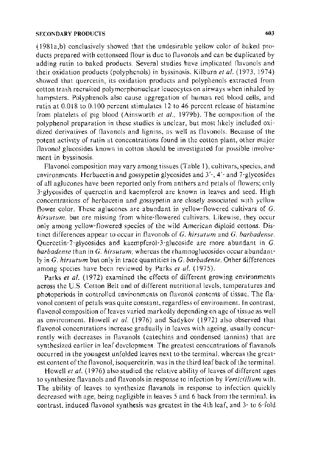( 1981 a,b) conclusively showed that the undesirable yellow color of baked products prepared with cottonseed flour is due to flavonols and can be duplicated by adding rutin to baked products. Several studies have implicated flavonols and their oxidation products (polyphenols) in byssinosis. Kilburn *et al.* (1973, 1974) showed that quercetin, its oxidation products and polyphenols extracted from cotton trash recruited polymorphonuclear leucocytes on airways when inhaled by hampsters. Polyphenols also cause aggregation of human red blood cells, and rutin at 0.018 to 0.100 percent stimulates 12 to 46 percent release of histamine from platelets of pig blood (Ainsworth *et a!.,* 1979b). The composition of the polyphenol preparation in these studies is unclear, but most hkely included oxidized derivatives of flavanols and Iignins, as well as flavonols. Because of the potent activity of rutin at concentrations found in the cotton plant, other major flavonol glucosides known in cotton should be investigated for possible involvement in byssinosis.

Flavonol composition may vary among tissues (Table I), cultivars, species, and environments. Herbacetin and gossypetin glycosides and 3'-, 4'- and 7-glycosides of all aglucones have been reported only from anthers and petals of flowers; only 3-glycosides of quercetin and kaempferol are known in leaves and seed. High concentrations of herbacetin and gossypetin are closely associated with yellow flower color. These aglucones are abundant in yellow-flowered cultivars of G. *hirsutum,* but are missing from white-flowered cultivars. Likewise, they occur only among yellow-flowered species of the wild American diploid cottons. Distinct differences appear to occur in flavonols of *G. hirsutum* and *G. barbadense.*  Quercetin-7-glycosides and kaempferol-3-glucoside are more abundant in G. *barbadense* than in G. *hirsutum,* whereas the rhamnoglucosides occur abundantly in *G. hirsutum* but only in trace quantities in *G. barbadense.* Other differences among species have been reviewed by Parks et al. (1975).

Parks *et al.* (1972) examined the effects of different growing environments across the U.S. Cotton Belt and of different nutritional levels, temperatures and photoperiods in controlled environments on flavonol contents of tissue. The flavonol content of petals was quite constant, regardless of environment. In contrast, flavonol composition of leaves varied markedly depending on age of tissue as well as environment. Howell *et al.* (1976) and Sadykov (1972) also observed that flavonol concentrations increase gradually in leaves with ageing, usually concurrently with decreases in flavanols (catechins and condensed tannins) that are synthesized earlier in leaf development. The greatest concentrations of flavanols occurred in the youngest unfolded leaves next to the terminal. whereas the greatest content of the flavonol, isoquercitrin, was in the third leaf back of the terminal.

Howell *et al.* (1976) also studied the relative ability of leaves of different ages to synthesize flavanols and flavonols in response to infection by *Verticillium* wilt. The ability of leaves to synthesize flavanols in response to infection quickly decreased with age, being negligible in leaves 5 and 6 back from the terminal. In contrast, induced flavonol synthesis was greatest in the 4th leaf, and 3- to 6-fold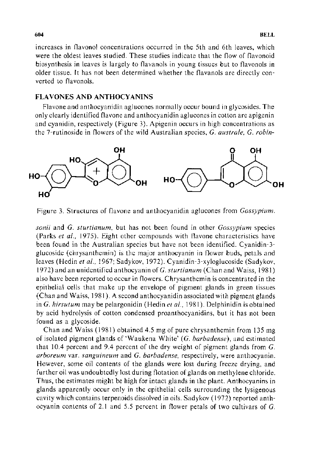increases in flavonol concentrations occurred in the 5th and 6th leaves, which were the oldest leaves studied. These studies indicate that the flow of flavonoid biosynthesis in leaves is largely to flavanols in young tissues but to flavonols in older tissue. It has not been determined whether the flavanols are directly converted to flavonols.

## **FLA VONES AND ANTHOCY ANINS**

Flavone and anthocyanidin aglucones normally occur bound in glycosides. The only clearly identified flavone and anthocyanidin aglucones in cotton are apigenin and cyanidin, respectively (Figure 3). Apigenin occurs in high concentrations as the 7-rutinoside in flowers of the wild Australian species, *G. australe. G. robin-*



Figure 3. Structures of flavone and anthocyanidin aglucones from *Gossypium.* 

*sonii* and *G. sturtianum.* but has not been found in other *Gossypium* species (Parks et al., 1975). Eight other compounds with flavone characteristics have been found in the Australian species but have not been identified. Cyanidin-3glucoside ( chrysanthemin) is the major anthocyanin in flower buds, petals and leaves (Hedin et al., 1967; Sadykov, 1972). Cyanidin-3-xyloglucoside (Sadykov, 1972) and an unidentified anthocyanin of *G. sturtianum* (Chan and Waiss, 1981) also have been reported to occur in flowers. Chrysanthemin is concentrated in the epithelial cells that make up the envelope of pigment glands in green tissues (Chan and Waiss, 1981 ). A second anthocyanidin associated with pigment glands in *G. hirsutum* may be pelargonidin (Hedin *eta!.,* 1981). Delphinidin is obtained by acid hydrolysis of cotton condensed proanthocyanidins, but it has not been found as a glycoside.

Chan and Waiss ( 1981) obtained 4.5 mg of pure chrysanthemin from 135 mg of isolated pigment glands of 'Waukena White' *(G. barbadense),* and estimated that 10.4 percent and 9.4 percent of the dry weight of pigment glands from  $G$ . *arboreum* var. *sanguineum* and *G. barbadense,* respectively, were anthocyanin. However, some oil contents of the glands were lost during freeze drying, and further oil was undoubtedly lost during flotation of glands on methylene chloride. Thus, the estimates might be high for intact glands in the plant. Anthocyanins in glands apparently occur only in the epithelial cells surrounding the lysigenous cavity which contains terpenoids dissolved in oils. Sadykov (1972) reported anthocyanin contents of 2.1 and 5.5 percent in flower petals of two cultivars of *G.*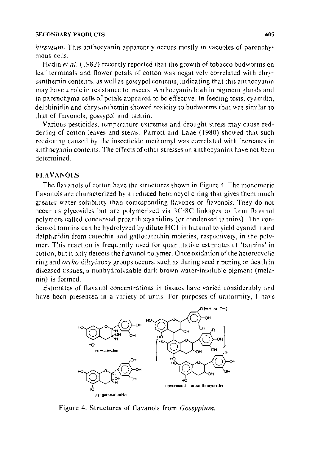*hirsutum.* This anthocyanin apparently occurs mostly in vacuoles of parenchymous cells.

Hedin *et al.* (1982) recently reported that the growth of tobacco budworms on leaf terminals and flower petals of cotton was negatively correlated with chrysanthemin contents, as well as gossypol contents, indicating that this anthocyanin may have a role in resistance to insects. Anthocyanin both in pigment glands and in parenchyma cells of petals appeared to be effective. In feeding tests, cyanidin, delphinidin and chrysanthemin showed toxicity to budworms that was similar to that of flavonols, gossypol and tannin.

Various pesticides, temperature extremes and drought stress may cause reddening of cotton leaves and stems. Parrott and Lane ( 1980) showed that such reddening caused by the insecticide methomyl was correlated with increases in anthocyanin contents. The effects of other stresses on anthocyanins have not been determined.

#### FLAVANOLS

The flavanols of cotton have the structures shown in Figure 4. The monomeric flavanols are characterized by a reduced heterocyclic ring that gives them much greater water solubility than corresponding flavones or flavonols. They do not occur as glycosides but are polymerized via 3C-8C linkages to form flavanol polymers called condensed proanthocyanidins (or condensed tannins). The condensed tannins can be hydrolyzed by dilute HC I in butanol to yield cyanidin and delphinidin from catechin and gallocatechin moieties, respectively, in the polymer. This reaction is frequently used for quantitative estimates of 'tannins' in cotton, but it only detects the flavanol polymer. Once oxidation of the heterocyclic ring and ortho-dihydroxy groups occurs, such as during seed ripening or death in diseased tissues, a nonhydrolyzable dark brown water-insoluble pigment (melanin) is formed.

Estimates of flavanol concentrations in tissues have varied considerably and have been presented in a variety of units. For purposes of uniformity, I have



Figure 4. Structures of flavanols from *Gossypium.*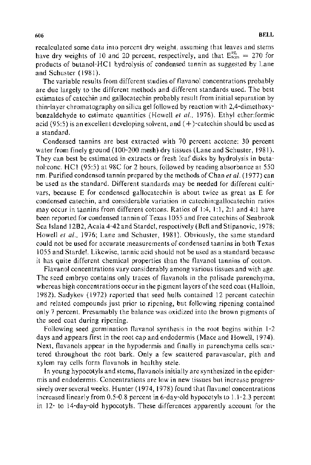recalculated some data into percent dry weight, assuming that leaves and stems have dry weights of 10 and 20 percent, respectively, and that  $E_{\text{icm}}^{1\%} = 270$  for products of butanol-HCI hydrolysis of condensed tannin as suggested by Lane and Schuster (1981).

The variable results from different studies of flavanol concentrations probably are due largely to the different methods and different standards used. The best estimates of catechin and gallocatechin probably result from initial separation by thin-layer chromatography on silica gel followed by reaction with 2,4-dimethoxybenzaldehyde to estimate quantities (Howell *et a!.,* 1976). Ethyl ether:formic acid (95:5) is an excellent developing solvent, and  $(+)$ -catechin should be used as a standard.

Condensed tannins are best extracted with 70 percent acetone: 30 percent water from finely ground (100-200 mesh) dry tissues (Lane and Schuster, 1981). They can best be estimated in extracts or fresh leaf disks by hydrolysis in butanol:conc. HCI (95:5) at 98C for 2 hours, followed by reading absorbance at 550 nm. Purified condensed tannin prepared by the methods of Chan et al. (1977) can be used as the standard. Different standards may be needed for different cultivars, because E for condensed gallocatechin is about twice as great as E for condensed catechin, and considerable variation in catechin:gallocatechin ratios may occur in tannins from different cottons. Ratios of  $1:4, 1:1, 2:1$  and  $4:1$  have been reported for condensed tannin of Texas l 055 and free catechins of Seabrook Sea Island 1282, Acala 4-42 and Stardel, respectively (Bell and Stipanovic, 1978; Howell *et al.*, 1976; Lane and Schuster, 1981). Obviously, the same standard could not be used for accurate measurements of condensed tannins in both Texas l 055 and Stardel. Likewise, tannic acid should not be used as a standard because it has quite different chemical properties than the flavanol tannins of cotton.

Flavanol concentrations vary considerably among various tissues and with age. The seed embryo contains only traces of flavanols in the palisade parenchyma, whereas high concentrations occur in the pigment layers of the seed coat (Halloin, 1982). Sadykov ( 1972) reported that seed hulls contained 12 percent catechin and related compounds just prior to ripening, but following ripening contained only 7 percent. Presumably the balance was oxidized into the brown pigments of the seed coat during ripening.

Following seed germination flavanol synthesis in the root begins within 1-2 days and appears first in the root cap and endodermis (Mace and Howell, 1974). Next, flavanols appear in the hypodermis and finally in parenchyma cells scattered throughout the root bark. Only a few scattered paravascular, pith and xylem ray cells form flavanols in healthy stele.

In young hypocotyls and stems, flavanols initially are synthesized in the epidermis and endodermis. Concentrations are low in new tissues but increase progressively over several weeks. Hunter ( 1974, 1978) found that flavanol concentrations increased linearly from 0.5-0.8 percent in 6-day-old hypocotyls to 1.1-2.3 percent in 12- to 14-day-old hypocotyls. These differences apparently account for the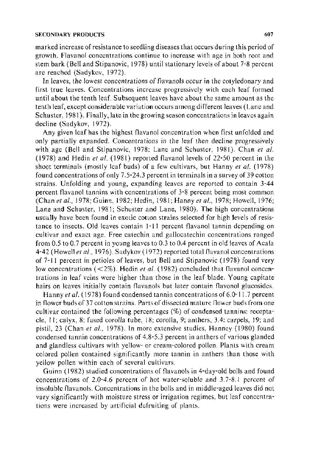marked increase of resistance to seedling diseases that occurs during this period of growth. Flavanol concentrations continue to increase with age in both root and stem bark (Bell and Stipanovic, 1978) until stationary levels of about 7-8 percent are reached (Sadykov, 1972).

In leaves, the lowest concentrations of flavanols occur in the cotyledonary and first true leaves. Concentrations increase progressively with each leaf formed until about the tenth leaf. Subsequent leaves have about the same amount as the tenth leaf, except considerable variation occurs among different leaves (Lane and Schuster, 1981). Finally, late in the growing season concentrations in leaves again decline (Sadykov, 1972).

Any given leaf has the highest flavanol concentration when first unfolded and only partially expanded. Concentrations in the leaf then decline progressively with age (Bell and Stipanovic, 1978: Lane and Schuster, 1981 ). Chan *et a!.*  (1978) and Hedin *et a!.* {1981) reported flavanol levels of 22-50 percent in the shoot terminals (mostly leaf buds) of a few cultivars, but Hanny *et al.* (1978) found concentrations of only 7.5-24.3 percent in terminals in a survey of 39 cotton strains. Unfolding and young, expanding leaves are reported to contain 3-44 percent flavanol tannins with concentrations of 3-8 percent being most common (Chan *et al.,* 1978; Guinn, 1982; Hedin, 1981; Hanny *et al.,* 1978; Howell, 1976; Lane and Schuster, 1981; Schuster and Lane, 1980). The high concentrations usually have been found in exotic cotton strains selected for high levels of resistance to insects. Old leaves contain 1-11 percent flavanol tannin depending on cultivar and exact age. Free catechin and gallocatechin concentrations ranged from 0.5 to 0.7 percent in young leaves to 0.3 to 0.4 percent in old leaves of Acala 4-42 (Howell *eta! ..* 1976). Sadykov ( 1972) reported total flavanol concentrations of 7-11 percent in petioles of leaves, but Bell and Stipanovic ( 1978) found very low concentrations (<2%). Hedin *et al.* (1982) concluded that flavanol concentrations in leaf veins were higher than those in the leaf blade. Young capitate hairs on leaves initially contain flavanols but later contain flavonol glucosides.

Hanny *et al.* (1978) found condensed tannin concentrations of 6.0-11.7 percent in flower buds of 37 cotton strains. Parts of dissected mature flower buds from one cultivar contained the following percentages (%) of condensed tannins: receptacle, 11; calyx, 8; fused corolla tube, 18; corolla, 9; anthers, 3.4: carpels, 19; and pistil, 23 (Chan et al., 1978). In more extensive studies, Hanney (1980) found condensed tannin concentrations of 4.8-5.3 percent in anthers of various glanded and glandless cultivars with yellow- or cream-colored pollen. Plants with cream colored pollen contained significantly more tannin in anthers than those with yellow pollen within each of several cultivars.

Guinn ( 1982) studied concentrations of flavanols in 4-day-old bolls and found concentrations of 2.0-4.6 percent of hot water-soluble and 3.7-8.1 percent of insoluble flavanols. Concentrations in the bolls and in middle-aged leaves did not vary significantly with moisture stress or irrigation regimes, but leaf concentrations were increased by artificial defruiting of plants.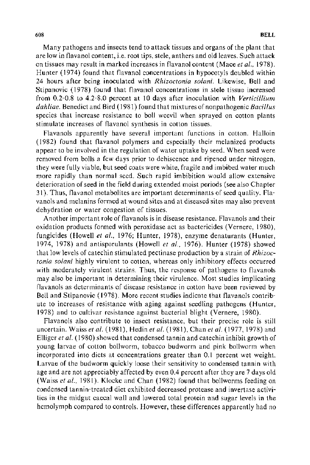Many pathogens and insects tend to attack tissues and organs of the plant that are low in flavanol content, i.e. root tips, stele, anthers and old leaves. Such attack on tissues may result in marked increases in flavanol content (Mace *eta!.,* 1978). Hunter (1974) found that flavanol concentrations in hypocotyls doubled within 24 hours after being inoculated with *Rhizoctonia so/ani.* Likewise, Bell and Stipanovic ( 1978) found that flavanol concentrations in stele tissue increased from 0.2-0.8 to 4.2-8.0 percent at 10 days after inoculation with *Verticillium dahliae.* Benedict and Bird ( 1981) found that mixtures of nonpathogenic *Bacillus*  species that increase resistance to boll weevil when sprayed on cotton plants stimulate increases of flavanol synthesis in cotton tissues.

Flavanols apparently have several important functions in cotton. Halloin (1982) found that flavanol polymers and especially their melanized products appear to be involved in the regulation of water uptake by seed. When seed were removed from bolls a few days prior to dehiscence and ripened under nitrogen, they were fully viable, but seed coats were white, fragile and imbibed water much more rapidly than normal seed. Such rapid imbibition would allow extensive deterioration of seed in the field during extended moist periods (see also Chapter 31 ). Thus, flavanol metabolites are important determinants of seed quality. Flavanols and melanins formed at wound sites and at diseased sites may also prevent dehydration or water congestion of tissues.

Another important role of flavanols is in disease resistance. Flavanols and their oxidation products formed with peroxidase act as bactericides (Vernere, 1980), fungicides (Howell *et al.,* 1976; Hunter, 1978), enzyme denaturants (Hunter, 1974, 1978) and antisporulants (Howell *eta!.,* 1976). Hunter (1978) showed that low levels of catechin stimulated pectinase production by a strain of *Rhizoctonia so/ani* highly virulent to cotton, whereas only inhibitory effects occurred with moderately virulent strains. Thus, the response of pathogens to flavanols may also be important in determining their virulence. Most studies implicating flavanols as determinants of disease resistance in cotton have been reviewed by Bell and Stipanovic ( 1978). More recent studies indicate that flavanols contribute to increases of resistance with aging against seedling pathogens (Hunter, 1978) and to cultivar resistance against bacterial blight (Vernere, 1980).

Flavanols also contribute to insect resistance, but their precise role is still uncertain. Waiss *et at.* (1981 ), Hedin *eta/.* (1981 ), Chan *eta/.* (1977, 1978) and Elliger *eta!.* ( 1980) showed that condensed tannin and catechin inhibit growth of young larvae of cotton bollworm, tobacco budworm and pink bollworm when incorporated into diets at concentrations greater than 0.1 percent wet weight. Larvae of the budworm quickly loose their sensitivity to condensed tannin with age and are not appreciably affected by even 0.4 percent after they are 7 days old (Waiss *eta!.,* 1981). Klocke and Chan (1982) found that bollworms feeding on condensed tannin-treated diet exhibited decreased protease and invertase activities in the midgut caecal wall and lowered total protein and sugar levels in the hemolymph compared to controls. However, these differences apparently had no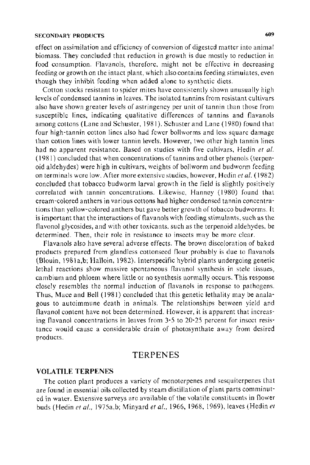effect on assimilation and efficiency of conversion of digested matter into animal biomass. They concluded that reduction in growth is due mostly to reduction in food consumption. Flavanols, therefore. might not be effective in decreasing feeding or growth on the intact plant, which also contains feeding stimulates, even though they inhibit feeding when added alone to synthetic diets.

Cotton stocks resistant to spider mites have consistently shown unusually high levels of condensed tannins in leaves. The isolated tannins from resistant cultivars also have shown greater levels of astringency per unit of tannin than those from susceptible lines, indicating qualitative differences of tannins and flavanols among cottons (Lane and Schuster, 1981 ). Schuster and Lane ( 1980) found that four high-tannin cotton lines also had fewer bollworms and less square damage than cotton lines with lower tannin levels. However, two other high tannin lines had no apparent resistance. Based on studies with five cultivars, Hedin *et* at. ( 1981) concluded that when concentrations of tannins and other phenols (terpenoid aldehydes) were high in cultivars, weights of bollworm and budworm feeding on terminals were low. After more extensive studies, however, Hedin *eta/.* ( 1982) concluded that tobacco budworm larval growth in the field is slightly positively correlated with tannin concentrations. Likewise, Hanney (1980) found that cream-colored anthers in various cottons had higher condensed tannin concentrations than yellow-colored anthers but gave better growth of tobacco bud worms. It is important that the interactions of flavanols with feeding stimulants, such as the flavonol glycosides, and with other toxicants. such as the terpcnoid aldehydes, be determined. Then, their role in resistance to insects may be more clear.

Flavanols also have several adverse effects. The brown discoloration of baked products prepared from glandless cottonseed flour probably is due to flavanols (Blouin, 1981 a,b; Halloin, 1982). Interspecific hybrid plants undergoing genetic lethal reactions show massive spontaneous flavanol synthesis in stele tissues, cambium and phloem where little or no synthesis normally occurs. This response closely resembles the normal induction of flavanols in response to pathogens. Thus, Mace and Bell (1981) concluded that this genetic lethality may be analagous to autoimmune death in animals. The relationships between yield and flavanol content have not been determined. However, it is apparent that increasing flavanol concentrations in leaves from 3-5 to 20-25 percent for insect resistance would cause a considerable drain of photosynthate away from desired products.

#### TERPENES

#### VOLA TILE TERPENES

The cotton plant produces a variety of monoterpenes and sesquiterpenes that are found in essential oils collected by steam distillation of plant parts comminuted in water. Extensive surveys are available of the volatile constituents in flower buds (Hedin *eta/.,* 1975a,b; Minyard *eta/.,* 1966, 1968, 1969), leaves (Hedin *et*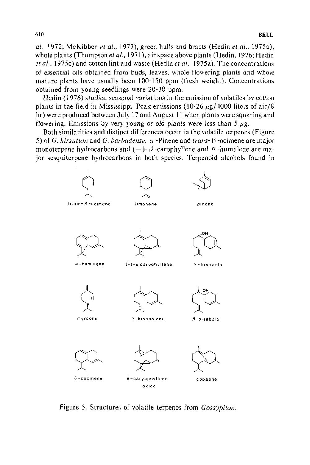*a/.,* 1972; McKibben *et a/.,* 1977), green hulls and bracts (Hedin *et a!.,* 197 Sa), whole plants (Thompson et al., 1971), air space above plants (Hedin, 1976; Hedin *eta/.,* 1975c) and cotton lint and waste (Hedin *et al.,* 1975a). The concentrations of essential oils obtained from buds, leaves, whole flowering plants and whole mature plants have usually been 100-150 ppm (fresh weight). Concentrations obtained from young seedlings were 20-30 ppm.

Hedin (1976) studied seasonal variations in the emission of volatiles by cotton plants in the field in Mississippi. Peak emissions (10-26  $\mu$ g/4000 liters of air/8 hr) were produced between July 17 and August 11 when plants were squaring and flowering. Emissions by very young or old plants were less than 5  $\mu$ g.

Both similarities and distinct differences occur in the volatile terpenes (Figure 5) of *G. hirsutum* and *G. barbadense.*  $\alpha$  -Pinene and *trans*- $\beta$ -ocimene are major monoterpene hydrocarbons and  $(-)$ - $\beta$ -carophyllene and  $\alpha$ -humulene are major sesquiterpene hydrocarbons in both species. Terpenoid alcohols found in



Figure 5. Structures of volatile terpenes from *Gossypium.*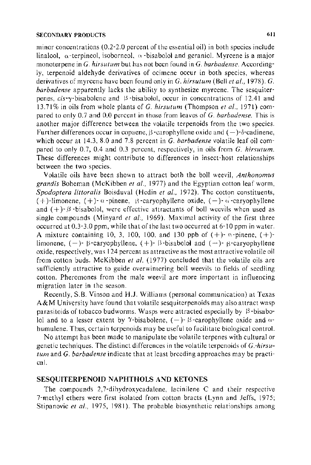minor concentrations (0.2-2.0 percent of the essential oil) in both species include linalool,  $\alpha$ -terpineol, isoborneol,  $\alpha$ -bisabolo! and geraniol. Myrcene is a major monoterpene in *G. hirsutum* but has not been found in *C. barbadense.* Accordingly, terpenoid aldehyde derivatives of ocimene occur in both species, whereas derivatives of myrcene have been found only in *G. hirsutum* (Bell *eta!.,* 1978). *G. barbadense* apparently lacks the ability to synthesize myrcene. The sesquiterpenes,  $cis$ - $\gamma$ -bisabolene and  $\beta$ -bisabolol, occur in concentrations of 12.41 and 13.71% in oils from whole plants of *G. hirsutum* (Thompson *et a!.,* 1971) compared to only 0.7 and 0.0 percent in those from leaves of *G. barbadense.* This is another major difference between the volatile terpenoids from the two species. Further differences occur in copaene,  $\beta$ -carophyllene oxide and  $(-)$ - $\delta$ -cadinene, which occur at 14.3, 8.0 and 7.8 percent in C. *barbadense* volatile leaf oil compared to only 0.7, 0.4 and 0.3 percent, respectively, in oils from *G. hirsutum.* These differences might contribute to differences in insect-host relationships between the two species.

Volatile oils have been shown to attract both the boll weevil, *Anthonomus grandis* Boheman (McKibben *et al.,* 1977) and the Egyptian cotton leaf worm, *Spodoptera littoralis* Boisduval (Hedin *et a!.,* 1972). The cotton constituents, ( + )-limonene, ( + )-  $\alpha$ -pinene,  $\beta$ -caryophyllene oxide, (-)-  $\alpha$ -caryophyllene and  $(+)$ - $\beta$ -bisabolol, were effective attractants of boll weevils when used as single compounds (Minyard *et al.*, 1969). Maximal activity of the first three occurred at 0.3-3.0 ppm, while that of the last two occurred at 6-10 ppm in water. A mixture containing 10, 3, 100, 100, and 130 ppb of  $(+)$ -  $\alpha$ -pinene,  $(+)$ limonene, (-)-  $\beta$ -caryophyllene, (+)-  $\beta$ -bisabolol and (-)-  $\beta$ -caryophyllene oxide, respectively, was 124 percent as attractive as the most attractive vola tile oil from cotton buds. McKibben *et a/.* (1977) concluded that the volatile oils are sufficiently attractive to guide overwintering boll weevils to fields of seedling cotton. Pheromones from the male weevil are more important in influencing migration later in the season.

Recently, S.B. Vinson and H.J. Williams (personal communication) at Texas A&M University have found that volatile sesquiterpenoids may also attract wasp parasitoids of tobacco budworms. Wasps were attracted especially by  $\beta$ -bisabolol and to a lesser extent by  $\gamma$ -bisabolene,  $(-)$ - $\beta$ -carophyllene oxide and  $\alpha$ humulene. Thus, certain terpenoids may be useful to facilitate biological control.

No attempt has been made to manipulate the volatile terpenes with cultural or genetic techniques. The distinct differences in the volatile terpenoids of *G.·hirsutum* and *G. barbadense* indicate that at least breeding approaches may be practical.

#### **SESQUITERPENOID NAPHTHOLS AND KETONES**

The compounds 2,7-dihydroxycadalene, lacinilene C and their respective 7-methyl ethers were first isolated from cotton bracts (Lynn and Jeffs, 1975; Stipanovic *et al.*, 1975, 1981). The probable biosynthetic relationships among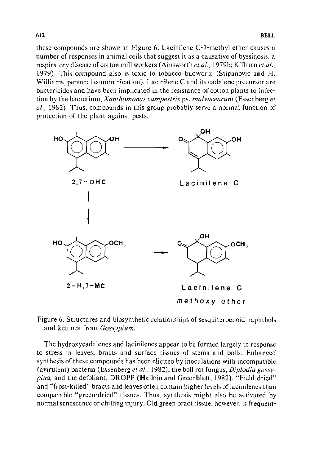these compounds are shown in Figure 6. Lacinilene C-7-methyl ether causes a number of responses in animal cells that suggest it as a causative of byssinosis, a respiratory disease of cotton mill workers (Ainsworth *eta!.,* l979b; Kilburn *eta!.,*  1979). This compound also is toxic to tobacco budworm (Stipanovic and H. Williams, personal communication). Lacinilene C and its cadalene precursor are bactericides and have been implicated in the resistance of cotton plants to infection by the bacterium, *Xanthomonas campestris* pv. *malvacearum* (Essenberg *et al.,* 1982). Thus, compounds in this group probably serve a normal function of protection of the plant against pests.



Figure 6. Structures and biosynthetic relationships of sesquiterpenoid naphthols and ketones from *Gossypium.* 

The hydroxycadalenes and lacinilenes appear to be formed largely in response to stress in leaves, bracts and surface tissues of stems and bolls. Enhanced synthesis of these compounds has been elicited by inoculations with incompatible (avirulent) bacteria (Essenberg *et al.,* 1982), the boll rot fungus, *Dip/odia gossypina,* and the defoliant, **DROPP** (Halloin and Greenblatt, 1982). "Field-dried" and "frost-killed" bracts and leaves often contain higher levels of lacinilenes than comparable "green-dried" tissues. Thus, synthesis might also be activated by normal senescence or chilling injury. Old green bract tissue, however, is frequent-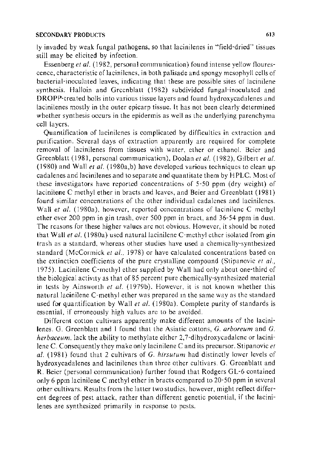ly invaded by weak fungal pathogens, so that lacinilenes in "field-dried" tissues still may be elicited by infection.

Essen berg *eta/.* ( 1982, personal communication) found intense yellow flourescence, characteristic of lacinilenes, in both palisade and spongy mesophyll cells of bacterial-inoculated leaves, indicating that these are possible sites of lacinilene synthesis. Halloin and Greenblatt (1982) subdivided fungal-inoculated and DROPP-treated bolls into various tissue layers and found hydroxycadalenes and lacinilenes mostly in the outer epicarp tissue. It has not been clearly determined whether synthesis occurs in the epidermis as well as the underlying parenchyma cell layers.

Quantification of lacinilenes is complicated by difficulties in extraction and purification. Several days of extraction apparently are required for complete removal of lacinilenes from tissues with water, ether or ethanol. Beier and Greenblatt (1981, personal communication), Doolan *et al.* (1982), Gilbert *et al.* ( 1980) and Wall *et a!.* ( 1980a,b) have developed various techniques to clean up cadalenes and lacinilenes and to separate and quantitate them by HPLC. Most of these investigators have reported concentrations of 5-50 ppm (dry weight) of lacinilene C methyl ether in bracts and leaves, and Beier and Greenblatt (1981) found similar concentrations of the other individual cadalenes and lacinilenes. Wall *et al.* (1980a), however, reported concentrations of lacinilene C methyl ether over 200 ppm in gin trash, over 500 ppm in bract, and 36-54 ppm in dust. The reasons for these higher values are not obvious. However, it should be noted that *Wallet a/.* (1980a) used naturallacinilene C-methyl ether isolated from gin trash as a standard, whereas other studies have used a chemically-synthesized standard (McCormick *et al..* 1978) or have calculated concentrations based on the extinction coefficients of the pure crystalline compound (Stipanovic *et a/.,*  1975). Lacinilene C-methyl ether supplied by Wall had only about one-third of the biological activtty as that of 85 percent pure chemically-synthesized material in tests by Ainsworth *et a/.* ( 1979b). However, it is not known whether this natural lacinilene C-methyl ether was prepared in the same way as the standard used for quantification by Wall *et a!.* ( 1980a). Complete purity of standards is essential, if erroneously high values are to be avoided.

Different cotton cultivars apparently make different amounts of the lacinilenes. G. Greenblatt and I found that the Asiatic cottons, G. *arboreum* and G. *herbaceum,* lack the ability to methylate either 2,7-dihydroxycadalene or lacinilene C. Consequently they make only lacinilene C and its precursor. Stipanovic *et a!.* (1981) found that 2 cultivars of *G. hirsutum* had distinctly lower levels of hydroxycadalenes and lacinilenes than three other cultivars. G. Greenblatt and R. Beier (personal communication) further found that Rodgers GL-6 contained only 6 ppm lacinilene C methyl ether in bracts compared to 20-50 ppm in several other cultivars. Results from the latter two studies, however, might reflect different degrees of pest attack, rather than different genetic potential, if the lacinilenes are synthesized primarily in response to pests.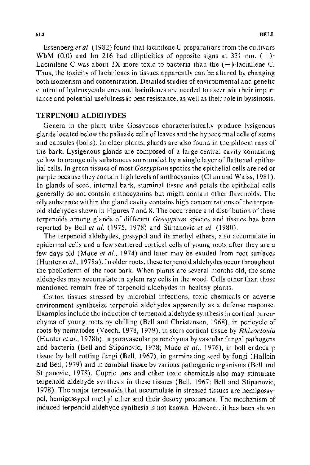Essen berg *eta/.* ( 1982) found that lacinilene C preparations from the cultivars WbM (0.0) and Im 216 had ellipticities of opposite signs at 331 nm.  $(+)$ -Lacinilene C was about 3X more toxic to bacteria than the  $(-)$ -lacinilene C. Thus, the toxicity of lacinilenes in tissues apparently can be altered by changing both isomerism and concentration. Detailed studies of environmental and genetic control of hydroxycadalenes and lacinilenes are needed to ascertain their importance and potential usefulness in pest resistance, as well as their role in byssinosis.

#### TERPENOID ALDEHYDES

Genera in the plant tribe Gossypeae characteristically produce lysigenous glands located below the palisade cells of leaves and the hypodermal cells of stems and capsules (bolls). In older plants, glands are also found in the phloem rays of the bark. Lysigenous glands are composed of a large central cavity containing yellow to orange oily substances surrounded by a single layer of flattened epithelial cells. In green tissues of most *Gossypium* species the epithelial cells are red or purple because they contain high levels of anthocyanins (Chan and Waiss, 1981). In glands of seed, internal bark, staminal tissue and petals the epithelial cells generally do not contain anthocyanins but might contain other flavonoids. The oily substance within the gland cavity contains high concentrations of the terpenoid aldehydes shown in Figures 7 and 8. The occurrence and distribution of these terpenoids among glands of different *Gossypium* species and tissues has been reported by Bell *et a/.* (1975, 1978) and Stipanovic *et a/.* (1980).

The terpenoid aldehydes, gossypol and its methyl ethers, also accumulate in epidermal cells and a few scattered cortical cells of young roots after they are a few days old (Mace *et al.*, 1974) and later may be exuded from root surfaces (Hunter *eta/.,* 1978a). In older roots, these terpenoid aldehydes occur throughout the phelloderm of the root bark. When plants are several months old, the same aldehydes may accumulate in xylem ray cells in the wood. Cells other than those mentioned remain free of terpenoid aldehydes in healthy plants.

Cotton tissues stressed by microbial infections, toxic chemicals or adverse environment synthesize terpenoid aldehydes apparently as a defense response. Examples include the induction of terpenoid aldehyde synthesis in cortical parenchyma of young roots by chilling (Bell and Christensen, 1968), in pericycle of roots by nematodes (Veech, 1978, 1979), in stem cortical tissue by *Rhizoctonia*  (Hunter *et al.*, 1978b), in paravascular parenchyma by vascular fungal pathogens and bacteria (Bell and Stipanovic, 1978; Mace *et al.,* 1976), in boll endocarp tissue by boll rotting fungi (Bell, 1967), in germinating seed by fungi (Halloin and Bell, 1979) and in cambial tissue by various pathogenic organisms (Bell and Stipanovic, 1978). Cupric ions and other toxic chemicals also may stimulate terpenoid aldehyde synthesis in these tissues (Bell, 1967; Bell and Stipanovic, 1978). The major terpenoids that accumulate in stressed tissues are hemigossypol, hemigossypol methyl ether and their desoxy precursors. The mechanism of induced terpenoid aldehyde synthesis is not known. However, it has been shown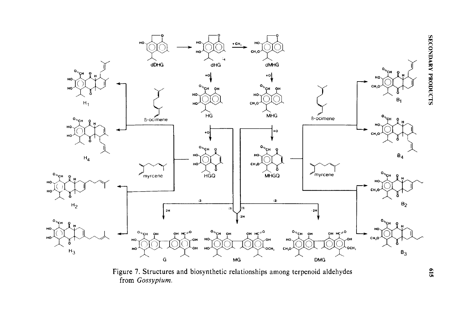

Figure 7. Structures and biosynthetic relationships among terpenoid aldehydes from *Gossypium*.

 $519$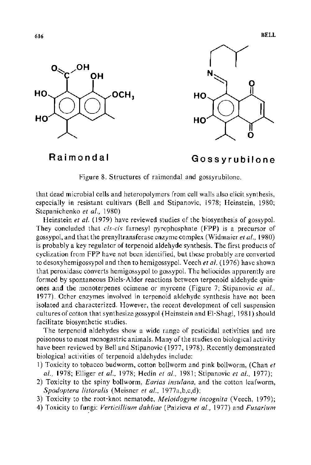



# **Raimondal**

# **Gossyrubilone**

Figure 8. Structures of raimondal and gossyrubilone.

that dead microbial cells and heteropolymers from cell walls also elicit synthesis, especially in resistant cultivars (Bell and Stipanovic, 1978; Heinstein, 1980; Stepanichenko *et a!.,* 1980)

Heinstein *et al.* (1979) have reviewed studies of the biosynthesis of gossypol. They concluded that *cis-cis* farnesyl pyrophosphate (FPP) is a precursor of gossypol, and that the prenyltransferase enzyme complex (Widmaier *eta!.,* 1980) is probably a key regulator of terpenoid aldehyde synthesis. The first products of cyclization from FPP have not been identified, but these probably are converted to desoxyhemigossypol and then to hemigossypol. Veech *eta!.* (1976) have shown that peroxidase converts hemigossypol to gossypol. The heliocides apparently are formed by spontaneous Diels-Alder reactions between terpenoid aldehyde quinones and the monoterpenes ocimene or myrcene (Figure 7; Stipanovic *et a!.,*  1977). Other enzymes involved in terpenoid aldehyde synthesis have not been isolated and characterized. However, the recent development of cell suspension cultures of cotton that synthesize gossypol (Heinstein and El-Shagi, 1981) should facilitate biosynthetic studies.

The terpenoid aldehydes show a wide range of pesticidal activities and are poisonous to most monogastric animals. Many of the studies on biological activity have been reviewed by Bell and Stipanovic ( 1977, 1978 ). Recently demonstrated biological activities of terpenoid aldehydes include:

- 1) Toxicity to tobacco bud worm, cotton bollworm and pink bollworm, (Chan *et al.,* 1978; Elliger *et al.,* 1978; Hedin *et al.,* 1981; Stipanovic *et al.,* 1977);
- 2) Toxicity to the spiny bollworm, *Earias insulana,* and the cotton leafworm, *Spodoptera littoralis* (Meisner *et a/.,* 1977a,b,c,d);
- 3) Toxicity to the root-knot nematode, *Meloidogyne incognita* (Veech, 1979);
- 4) Toxicity to fungi: *Verticillium dahliae* (Paizieva *eta!.,* 1977) and *Fusarium*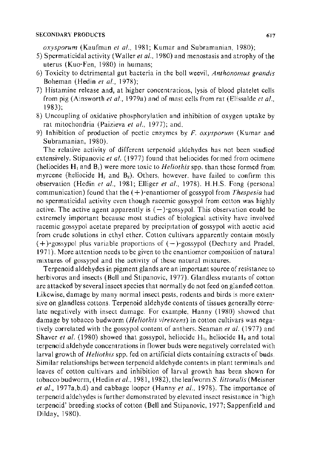*oxysporum* (Kaufman *et a!.,* 1981; Kumar and Subramanian, 1980);

- 5) Spermaticidal activity (Waller *eta/.,* 1980) and menostasis and atrophy of the uterus (Kuo-Fen, 1980) in humans;
- 6) Toxicity to detrimental gut bacteria in the boll weevil, *Anthonomus grandis*  Boheman (Hedin *eta/.,* 1978);
- 7) Histamine release and, at higher concentrations, lysis of blood platelet cells from pig (Ainsworth *eta/.,* 1979a) and of mast cells from rat (Elissalde *et al.,*  1983);
- 8) Uncoupling of oxidative phosphorylation and inhibition of oxygen uptake by rat mitochondria (Paizieva *et al.,* 1977); and,
- 9) Inhibition of production of pectic enzymes by F. *oxysporum* (Kumar and Subramanian, 1980).

The relative activity of different terpenoid aldehydes has not been studied extensively. Stipanovic *et al.* (1977) found that heliocides formed from ocimene  $(heliocides H<sub>1</sub> and B<sub>1</sub>)$  were more toxic to *Heliothis* spp. than those formed from myrcene (heliocide  $H_2$  and  $B_2$ ). Others, however, have failed to confirm this observation (Hedin *et a!.,* 1981; Elliger *et a/.,* 1978). H.H.S. Fang (personal communication) found that the ( + )-enantiomer of gossypol from *Thespesia* had no spermaticidal activity even though racemic gossypol from cotton was highly active. The active agent apparently is  $(-)$ -gossypol. This observation could be extremely important because most studies of biological activity have involved racemic gossypol acetate prepared by precipttation of gossypol with acetic acid from crude solutions in ethyl ether. Cotton cultivars apparently contain mostly  $(+)$ -gossypol plus variable proportions of  $(-)$ -gossypol (Dechary and Pradel, 1971). More attention needs to be given to the enantiomer composition of natural mixtures of gossypol and the activity of these natural mixtures.

Terpenoid aldehydes in pigment glands are an important source of resistance to herbivores and insects (Bell and Stipanovic, 1977). Glandless mutants of cotton are attacked by several insect species that normally do not feed on glanded cotton. Likewise, damage by many normal insect pests, rodents and birds is more extensive on glandless cottons. Terpenoid aldehyde contents of tissues generally correlate negatively with insect damage. For example, Hanny (1980) showed that damage by tobacco budworm *(Heliothis virescens)* in cotton cultivars was negatively correlated with the gossypol content of anthers. Seaman *et al.* (1977) and Shaver *et al.* (1980) showed that gossypol, heliocide  $H_1$ , heliocide  $H_2$  and total terpenoid aldehyde concentrations in flower buds were negatively correlated with larval growth of *Heliothis* spp. fed on artificial diets containing extracts of buds. Similar relationships between terpenoid aldehyde contents in plant terminals and leaves of cotton cultivars and inhibition of larval growth has been shown for tobacco budworm, (Hedin *eta!.,* 1981, 1982), the leafworm S. *littoralis* (Meisner *eta/.,* 1977a,b,d) and cabbage looper (Hanny *eta!.,* 1978). The importance of terpenoid aldehydes is further demonstrated by elevated insect resistance in 'high terpenoid' breeding stocks of cotton (Bell and Stipanovic, 1977; Sappenfield and Dilday, 1980).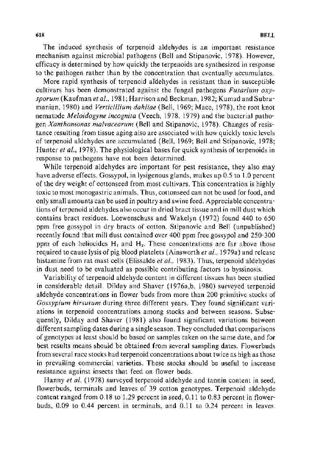The induced synthesis of terpenoid aldehydes is an important resistance mechanism against microbial pathogens (Bell and Stipanovic, 1978). However, efficacy is determined by how quickly the terpenoids are synthesized in response to the pathogen rather than by the concentration that eventually accumulates.

More rapid synthesis of terpenoid aldehydes in resistant than in susceptible cultivars has been demonstrated against the fungal pathogens *Fusarium oxysporum* (Kaufman *et al.,* 1981; Harrison and Beckman, 1982; Kumad and Subramanian, 1980) and *Verticillium dahliae* (Bell, 1969; Mace, 1978), the root knot nematode *Meloidogyne incognita* (Veech, 1978, 1979) and the bacterial pathogen *Xanthomonas malvacearum* (Bell and Stipanovic, 1978). Changes of resistance resulting from tissue aging also are associated with how quickly toxic levels of terpenoid aldehydes are accumulated (Bell, 1969; Bell and Stipanovic, 1978; Hunter *et al.*, 1978). The physiological bases for quick synthesis of terpenoids in response to pathogens have not been determined.

While terpenoid aldehydes are important for pest resistance, they also may have adverse effects. Gossypol, in lysigenous glands, makes up 0.5 to 1.0 percent of the dry weight of cottonseed from most cultivars. This concentration is highly toxic to most monogastric animals. Thus, cottonseed can not be used for food, and only small amounts can be used in poultry and swine feed. Appreciable concentrations of terpenoid aldehydes also occur in dried bract tissue and in mill dust which contains bract residues. Loewenschuss and Wakelyn (1972) found 440 to 650 ppm free gossypol in dry bracts of cotton. Stipanovic and Bell (unpublished) recently found that mill dust contained over 400 ppm free gossypol and 250-300 ppm of each heliocides  $H_1$  and  $H_2$ . These concentrations are far above those required to cause lysis of pig blood platelets (Ainsworth *eta! ..* 1979a) and release histamine from rat mast cells (Elissalde *et al.*, 1983). Thus, terpenoid aldehydes in dust need to be evaluated as possible contributing factors to byssinosis.

Variability of terpenoid aldehyde content in different tissues has been studied in considerable detail. Dilday and Shaver ( 1976a,b, 1980) surveyed terpenoid aldehyde concentrations in flower buds from more than 200 primitive stocks of *Gossypium hirsutum* during three different years. They found significant variations in terpenoid concentrations among stocks and between seasons. Subsequently, Dilday and Shaver (1981) also found significant variations between different sampling dates during a single season. They concluded that comparisons of genotypes at least should be based on samples taken on the same date, and for best results means should be obtained from several sampling dates. Flowerbuds from several race stocks had terpenoid concentrations about twice as high as those in prevailing commercial varieties. These stocks should be useful to increase resistance against insects that feed on flower buds.

Hanny *et al.* (1978) surveyed terpenoid aldehyde and tannin content in seed, flowerbuds, terminals and leaves of 39 cotton genotypes. Terpenoid aldehyde content ranged from 0.18 to 1.29 percent in seed, 0.11 to 0.83 percent in flowerbuds, 0.09 to 0.44 percent in terminals, and 0.11 to 0.24 percent in leaves.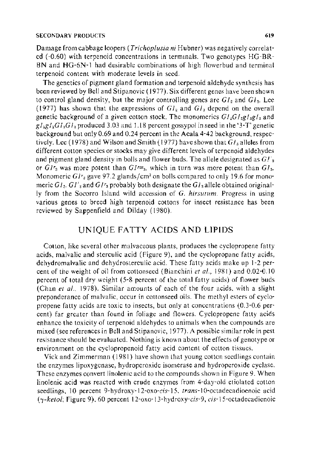Damage from cabbage loopers (*Trichoplusia ni* Hubner) was negatively correlated (-0.60) with terpenoid concentrations in termmals. Two genotypes HG-BR-BN and HG-6N-l had desirable combinations of high flowerbud and terminal terpenoid content with moderate levels in seed.

The genetics of pigment gland formation and terpenoid aldehyde synthesis has been reviewed by Bell and Stipanovic ( 1977). Six different genes have been shown to control gland density, but the major controlling genes are  $GI<sub>2</sub>$  and  $GI<sub>3</sub>$ . Lee (1977) has shown that the expressions of  $GI_2$  and  $GI_3$  depend on the overall genetic background of a given cotton stock. The monomerics  $GL_2G/_{2}gl_{3}gl_3$  and  $g /_{2}g /_{2}G /_{3}G /_{3}$  produced 3.03 and 1.18 percent gossypol in seed in the '3-T' genetic background but only 0.69 and 0.24 percent in the Acala 4-42 background, respectively. Lee (1978) and Wilson and Smith (1977) have shown that  $G_l$ <sub>a</sub> alleles from different cotton species or stocks may give different levels of terpenoid aldehydes and pigment gland density in bolls and flower buds. The allele designated as  $GI'_3$ or  $GIr<sub>3</sub>$  was more potent than  $GIr<sub>3</sub>$ , which in turn was more potent than  $GI<sub>3</sub>$ . Monomeric  $GIr<sub>a</sub>$  gave 97.2 glands/cm<sup>2</sup> on bolls compared to only 19.6 for monomeric  $GI_3$ ,  $GI'_3$  and  $GI'_3$  probably both designate the  $GI_3$  allele obtained originally from the Socorro Island wild accession of *G. hirsutum.* Progress in using various genes to breed high terpenoid cottons for insect resistance has been reviewed by Sappenfield and Dilday ( 1980).

# UNIQUE FATTY ACIDS AND LIPIDS

Cotton, like several other malvaceous plants, produces the cyclopropene fatty acids, malvalic and sterculic acid (Figure 9), and the cyclopropane fatty acids, dehydromalvalic and dehydrosterculic acid. These fatty acids make up 1-2 percent of the weight of oil from cottonseed (Bianchini *et a!.,* 1981) and 0.02·0.1 0 percent of total dry weight (5-8 percent of the total fatty acids) of flower buds (Chan *et al.,* 1978). Similar amounts of each of the four acids, with a slight preponderance of malvalic, occur in cottonseed oils. The methyl esters of cyclo· propene fatty acids are toxic to insects, but only at concentrations (0.3-0.6 percent) far greater than found in foliage and flowers. Cyclopropenc fatty acids enhance the toxicity of terpenoid aldehydes to animals when the compounds are mixed (see references in Bell and Stipanovic, 1977). A possible similar role in pest resistance should be evaluated. Nothing is known about the effects of genotype or environment on the cyclopropenoid fatty acid content of cotton tissues.

Vick and Zimmerman ( 1981) have shown that young cotton seedlings contain the enzymes lipoxygenase, hydroperoxide isomerase and hydroperoxide cyclase. These enzymes convert linolenic acid to the compounds shown in Figure 9. When linolenic acid was reacted with crude enzymes from 4-day-old etiolated cotton seedlings, 10 percent 9-hydroxy-12-oxo-cis-15, *trans-!* 0-octadecadioenoic acid ( *'Y-ketol;* Figure 9), 60 percent 12-oxo-13-hydroxy-cis-9, cis-IS-octadecadienoic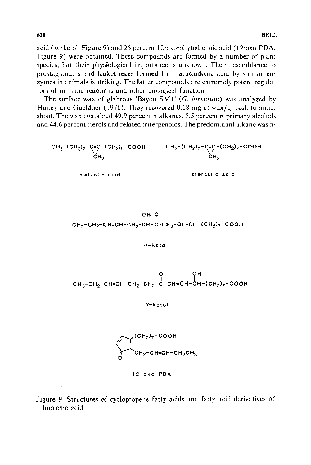acid ( $\alpha$  -ketol; Figure 9) and 25 percent 12-oxo-phytodienoic acid (12-oxo-PDA; Figure 9) were obtained. These compounds are formed by a number of plant species, but their physiological importance is unknown. Their resemblance to prostaglandins and leukotrienes formed from arachidonic acid by similar enzymes in animals is striking. The latter compounds are extremely potent regulators of immune reactions and other biological functions.

The surface wax of glabrous 'Bayou SMl' (G. *hirsutum)* was analyzed by Hanny and Gueldner (1976). They recovered 0.68 mg of wax/g fresh terminal shoot. The wax contained  $49.9$  percent n-alkanes, 5.5 percent n-primary alcohols and 44.6 percent sterols and related triterpenoids. The predominant alkane was n-

$$
CH3-CH27-C=C-CH27-C=COCH
$$
  
\n
$$
CH2
$$
  
\n
$$
CH2
$$
  
\n
$$
CH3-CH27-C=COCH
$$
  
\n
$$
CH3-CH27-C=COCH
$$
  
\n
$$
CH3-CH27-C=COCH
$$
  
\n
$$
CH2
$$
  
\n
$$
CH2
$$
  
\n
$$
CH2
$$
  
\n
$$
CH2
$$
  
\n
$$
CH2
$$

 $\begin{array}{c} 6H_1Q \\ 6H_3-CH_2-CH=CH-CH_2-CH-C+CH_2-CH=CH+CH_2\rightarrow-COOH \end{array}$ 

$$
\alpha\text{-}{\sf k} \, {\sf et} \, {\sf ol}
$$

$$
\begin{array}{cc}\n & \text{or} & \text{or} \\
& \text{or} & \text{or} \\
& \text{or} & \text{or} \\
& \text{or} & \text{or} \\
& \text{or} & \text{or} \\
& \text{or} & \text{or} \\
& \text{or} & \text{or} \\
& \text{or} & \text{or} \\
& \text{or} & \text{or} \\
& \text{or} & \text{or} \\
& \text{or} & \text{or} \\
& \text{or} & \text{or} \\
& \text{or} & \text{or} \\
& \text{or} & \text{or} \\
& \text{or} & \text{or} \\
& \text{or} & \text{or} \\
& \text{or} & \text{or} \\
& \text{or} & \text{or} \\
& \text{or} & \text{or} \\
& \text{or} & \text{or} \\
& \text{or} & \text{or} \\
& \text{or} & \text{or} \\
& \text{or} & \text{or} \\
& \text{or} & \text{or} \\
& \text{or} & \text{or} \\
& \text{or} & \text{or} \\
& \text{or} & \text{or} \\
& \text{or} & \text{or} \\
& \text{or} & \text{or} \\
& \text{or} & \text{or} \\
& \text{or} & \text{or} \\
& \text{or} & \text{or} \\
& \text{or} & \text{or} \\
& \text{or} & \text{or} \\
& \text{or} & \text{or} \\
& \text{or} & \text{or} \\
& \text{or} & \text{or} \\
& \text{or} & \text{or} \\
& \text{or} & \text{or} \\
& \text{or} & \text{or} \\
& \text{or} & \text{or} \\
& \text{or} & \text{or} \\
& \text{or} & \text{or} \\
& \text{or} & \text{or} \\
& \text{or} & \text{or} \\
& \text{or} & \text{or} \\
& \text{or} & \text{or} \\
& \text{or} & \text{or} \\
& \text{or} & \text{or} \\
& \text{or} & \text{or} \\
& \text{or} & \text{or} \\
& \text{or} & \text{or} \\
& \text{or} & \text{or} \\
& \text{or} & \text{or} \\
& \text{or} & \text{or} \\
& \text{or} & \text{or} \\
& \text{or} & \text{or} \\
& \text{or} & \text{or
$$

'Y-ketol



12-oxo-POA

Figure 9. Structures of cyclopropene fatty acids and fatty acid derivatives of linolenic acid.